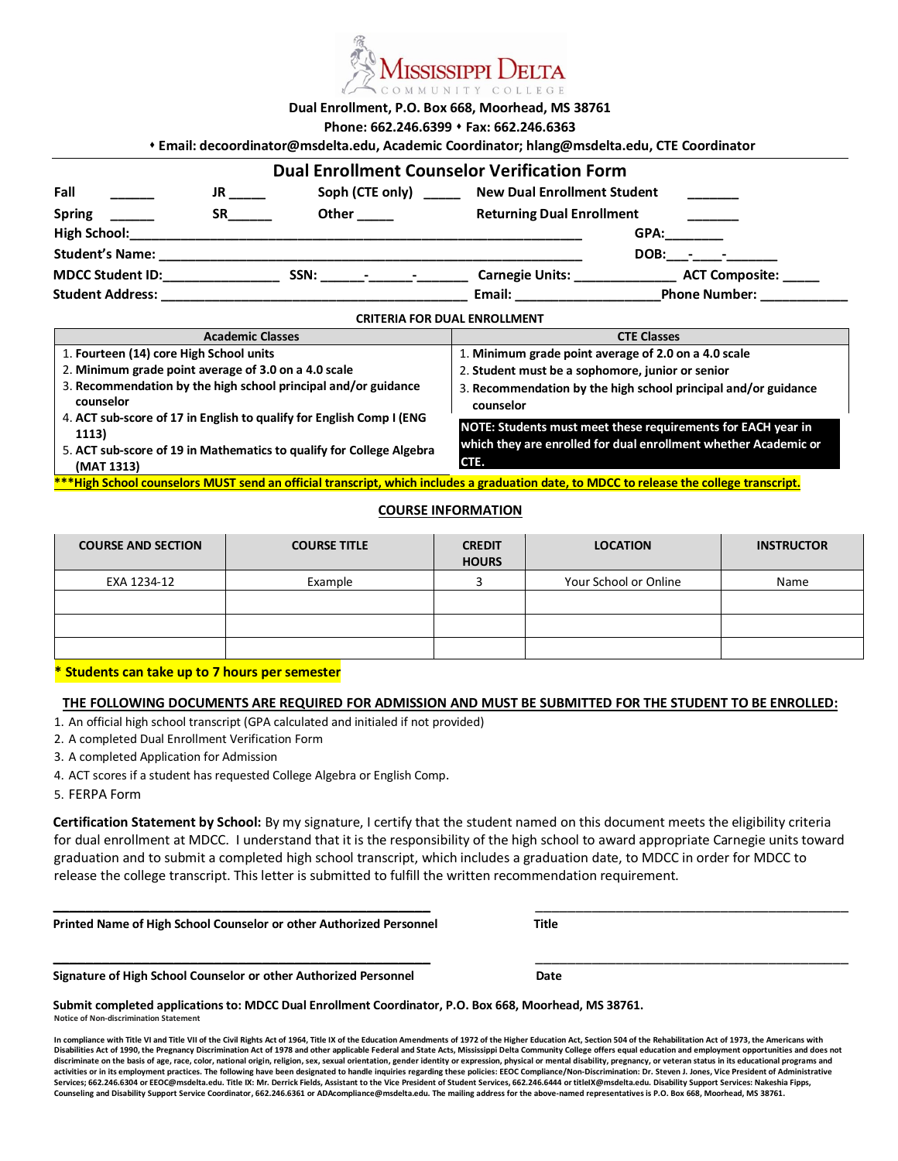

**Dual Enrollment, P.O. Box 668, Moorhead, MS 38761** 

**Phone: 662.246.6399** s **Fax: 662.246.6363**

|                                  |           |              |                         | * Email: decoordinator@msdelta.edu, Academic Coordinator; hlang@msdelta.edu, CTE Coordinator |                                                                                                                                                                                                                                |  |
|----------------------------------|-----------|--------------|-------------------------|----------------------------------------------------------------------------------------------|--------------------------------------------------------------------------------------------------------------------------------------------------------------------------------------------------------------------------------|--|
|                                  |           |              |                         | <b>Dual Enrollment Counselor Verification Form</b>                                           |                                                                                                                                                                                                                                |  |
| Fall                             | <b>JR</b> |              | Soph (CTE only) _______ | <b>New Dual Enrollment Student</b>                                                           |                                                                                                                                                                                                                                |  |
| <b>Spring</b>                    |           | Other ______ |                         | <b>Returning Dual Enrollment</b>                                                             |                                                                                                                                                                                                                                |  |
|                                  |           |              |                         |                                                                                              | GPA: the contract of the contract of the contract of the contract of the contract of the contract of the contract of the contract of the contract of the contract of the contract of the contract of the contract of the contr |  |
| <b>Student's Name:</b>           |           |              |                         |                                                                                              | $DOB: - -$                                                                                                                                                                                                                     |  |
| MDCC Student ID: NODE CONTINUES. |           |              | SSN: Fig. 2014          | Carnegie Units: 2008                                                                         | <b>ACT Composite:</b>                                                                                                                                                                                                          |  |
|                                  |           |              |                         |                                                                                              | Email: Phone Number:                                                                                                                                                                                                           |  |
|                                  |           |              |                         | <b>CRITERIA FOR DUAL ENROLLMENT</b>                                                          |                                                                                                                                                                                                                                |  |

| <b>Academic Classes</b>                                                                                                                   | <b>CTE Classes</b>                                                          |  |  |  |
|-------------------------------------------------------------------------------------------------------------------------------------------|-----------------------------------------------------------------------------|--|--|--|
| 1. Fourteen (14) core High School units                                                                                                   | 1. Minimum grade point average of 2.0 on a 4.0 scale                        |  |  |  |
| 2. Minimum grade point average of 3.0 on a 4.0 scale                                                                                      | 2. Student must be a sophomore, junior or senior                            |  |  |  |
| 3. Recommendation by the high school principal and/or guidance<br>counselor                                                               | 3. Recommendation by the high school principal and/or guidance<br>counselor |  |  |  |
| 4. ACT sub-score of 17 in English to qualify for English Comp I (ENG<br>1113)                                                             | NOTE: Students must meet these requirements for EACH year in                |  |  |  |
| 5. ACT sub-score of 19 in Mathematics to qualify for College Algebra<br>(MAT 1313)                                                        | which they are enrolled for dual enrollment whether Academic or<br>CTE.     |  |  |  |
| *** High School counselors MUST send an official transcript, which includes a graduation date, to MDCC to release the college transcript. |                                                                             |  |  |  |

#### **COURSE INFORMATION**

| <b>COURSE AND SECTION</b> | <b>COURSE TITLE</b> | <b>CREDIT</b><br><b>HOURS</b> | <b>LOCATION</b>       | <b>INSTRUCTOR</b> |
|---------------------------|---------------------|-------------------------------|-----------------------|-------------------|
| EXA 1234-12               | Example             |                               | Your School or Online | Name              |
|                           |                     |                               |                       |                   |
|                           |                     |                               |                       |                   |

#### **\* Students can take up to 7 hours per semester**

### **THE FOLLOWING DOCUMENTS ARE REQUIRED FOR ADMISSION AND MUST BE SUBMITTED FOR THE STUDENT TO BE ENROLLED:**

- 1. An official high school transcript (GPA calculated and initialed if not provided)
- 2. A completed Dual Enrollment Verification Form
- 3. A completed Application for Admission
- 4. ACT scores if a student has requested College Algebra or English Comp.
- 5. FERPA Form

**Certification Statement by School:** By my signature, I certify that the student named on this document meets the eligibility criteria for dual enrollment at MDCC. I understand that it is the responsibility of the high school to award appropriate Carnegie units toward graduation and to submit a completed high school transcript, which includes a graduation date, to MDCC in order for MDCC to release the college transcript. This letter is submitted to fulfill the written recommendation requirement.

**\_\_\_\_\_\_\_\_\_\_\_\_\_\_\_\_\_\_\_\_\_\_\_\_\_\_\_\_\_\_\_\_\_\_\_\_\_\_\_\_\_\_\_\_\_\_\_** \_\_\_\_\_\_\_\_\_\_\_\_\_\_\_\_\_\_\_\_\_\_\_\_\_\_\_\_\_\_\_\_\_\_\_\_\_\_\_

**\_\_\_\_\_\_\_\_\_\_\_\_\_\_\_\_\_\_\_\_\_\_\_\_\_\_\_\_\_\_\_\_\_\_\_\_\_\_\_\_\_\_\_\_\_\_\_** \_\_\_\_\_\_\_\_\_\_\_\_\_\_\_\_\_\_\_\_\_\_\_\_\_\_\_\_\_\_\_\_\_\_\_\_\_\_\_

| Printed Name of High School Counselor or other Authorized Personnel | Title |
|---------------------------------------------------------------------|-------|
|                                                                     |       |

**Signature of High School Counselor or other Authorized Personnel Date** 

**Notice of Non-discrimination Statement Submit completed applications to: MDCC Dual Enrollment Coordinator, P.O. Box 668, Moorhead, MS 38761.**

In compliance with Title VI and Title VII of the Civil Rights Act of 1964, Title IX of the Education Amendments of 1972 of the Higher Education Act, Section 504 of the Rehabilitation Act of 1973, the Americans with **Disabilities Act of 1990, the Pregnancy Discrimination Act of 1978 and other applicable Federal and State Acts, Mississippi Delta Community College offers equal education and employment opportunities and does not**  discriminate on the basis of age, race, color, national origin, religion, sex, sexual orientation, gender identity or expression, physical or mental disability, pregnancy, or veteran status in its educational programs and activities or in its employment practices. The following have been designated to handle inquiries regarding these policies: EEOC Compliance/Non-Discrimination: Dr. Steven J. Jones, Vice President of Administrative Services; 662.246.6304 or EEOC@msdelta.edu. Title IX: Mr. Derrick Fields, Assistant to the Vice President of Student Services, 662.246.6444 or titleIX@msdelta.edu. Disability Support Services: Nakeshia Fipps, **Counseling and Disability Support Service Coordinator, 662.246.6361 or ADAcompliance@msdelta.edu. The mailing address for the above-named representatives is P.O. Box 668, Moorhead, MS 38761.**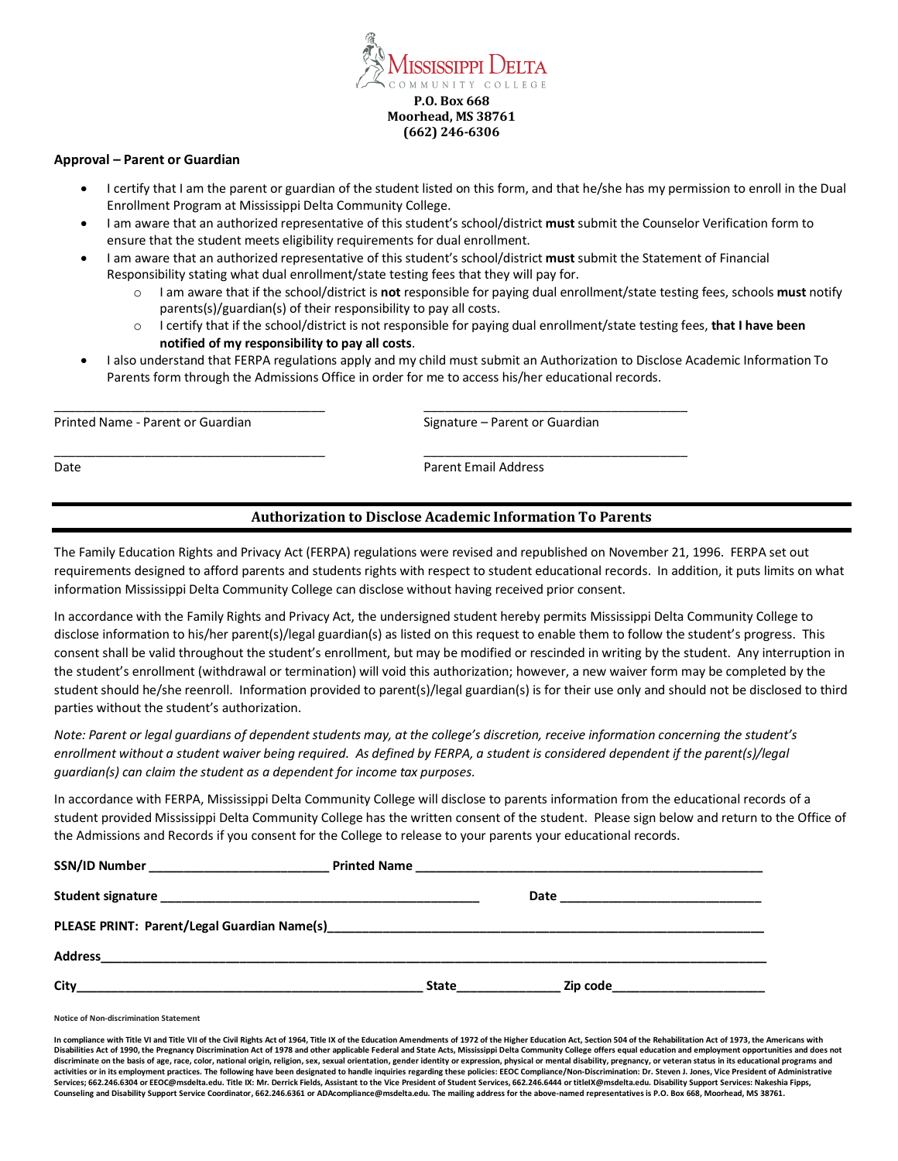

#### **Approval – Parent or Guardian**

- I certify that I am the parent or guardian of the student listed on this form, and that he/she has my permission to enroll in the Dual Enrollment Program at Mississippi Delta Community College.
- I am aware that an authorized representative of this student's school/district **must** submit the Counselor Verification form to ensure that the student meets eligibility requirements for dual enrollment.
- I am aware that an authorized representative of this student's school/district **must** submit the Statement of Financial Responsibility stating what dual enrollment/state testing fees that they will pay for.

\_\_\_\_\_\_\_\_\_\_\_\_\_\_\_\_\_\_\_\_\_\_\_\_\_\_\_\_\_\_\_\_\_\_\_\_\_\_\_ \_\_\_\_\_\_\_\_\_\_\_\_\_\_\_\_\_\_\_\_\_\_\_\_\_\_\_\_\_\_\_\_\_\_\_\_\_\_

\_\_\_\_\_\_\_\_\_\_\_\_\_\_\_\_\_\_\_\_\_\_\_\_\_\_\_\_\_\_\_\_\_\_\_\_\_\_\_ \_\_\_\_\_\_\_\_\_\_\_\_\_\_\_\_\_\_\_\_\_\_\_\_\_\_\_\_\_\_\_\_\_\_\_\_\_\_

- o I am aware that if the school/district is **not** responsible for paying dual enrollment/state testing fees, schools **must** notify parents(s)/guardian(s) of their responsibility to pay all costs.
- o I certify that if the school/district is not responsible for paying dual enrollment/state testing fees, **that I have been notified of my responsibility to pay all costs**.
- I also understand that FERPA regulations apply and my child must submit an Authorization to Disclose Academic Information To Parents form through the Admissions Office in order for me to access his/her educational records.

Printed Name - Parent or Guardian Signature – Parent or Guardian Signature – Parent or Guardian

Date **Parent Email Address** 

## **Authorization to Disclose Academic Information To Parents**

The Family Education Rights and Privacy Act (FERPA) regulations were revised and republished on November 21, 1996. FERPA set out requirements designed to afford parents and students rights with respect to student educational records. In addition, it puts limits on what information Mississippi Delta Community College can disclose without having received prior consent.

In accordance with the Family Rights and Privacy Act, the undersigned student hereby permits Mississippi Delta Community College to disclose information to his/her parent(s)/legal guardian(s) as listed on this request to enable them to follow the student's progress. This consent shall be valid throughout the student's enrollment, but may be modified or rescinded in writing by the student. Any interruption in the student's enrollment (withdrawal or termination) will void this authorization; however, a new waiver form may be completed by the student should he/she reenroll. Information provided to parent(s)/legal guardian(s) is for their use only and should not be disclosed to third parties without the student's authorization.

*Note: Parent or legal guardians of dependent students may, at the college's discretion, receive information concerning the student's enrollment without a student waiver being required. As defined by FERPA, a student is considered dependent if the parent(s)/legal guardian(s) can claim the student as a dependent for income tax purposes.* 

In accordance with FERPA, Mississippi Delta Community College will disclose to parents information from the educational records of a student provided Mississippi Delta Community College has the written consent of the student. Please sign below and return to the Office of the Admissions and Records if you consent for the College to release to your parents your educational records.

| City | <b>State State</b> | <b>Zip code</b> and the state of the state of the state of the state of the state of the state of the state of the state of the state of the state of the state of the state of the state of the state of the state of the state of |  |
|------|--------------------|-------------------------------------------------------------------------------------------------------------------------------------------------------------------------------------------------------------------------------------|--|

**Notice of Non-discrimination Statement**

In compliance with Title VI and Title VII of the Civil Rights Act of 1964, Title IX of the Education Amendments of 1972 of the Higher Education Act, Section 504 of the Rehabilitation Act of 1973, the Americans with **Disabilities Act of 1990, the Pregnancy Discrimination Act of 1978 and other applicable Federal and State Acts, Mississippi Delta Community College offers equal education and employment opportunities and does not**  discriminate on the basis of age, race, color, national origin, religion, sex, sexual orientation, gender identity or expression, physical or mental disability, pregnancy, or veteran status in its educational programs and activities or in its employment practices. The following have been designated to handle inquiries regarding these policies: EEOC Compliance/Non-Discrimination: Dr. Steven J. Jones, Vice President of Administrative Services; 662.246.6304 or EEOC@msdelta.edu. Title IX: Mr. Derrick Fields, Assistant to the Vice President of Student Services, 662.246.6444 or titleIX@msdelta.edu. Disability Support Services: Nakeshia Fipps, **Counseling and Disability Support Service Coordinator, 662.246.6361 or ADAcompliance@msdelta.edu. The mailing address for the above-named representatives is P.O. Box 668, Moorhead, MS 38761.**